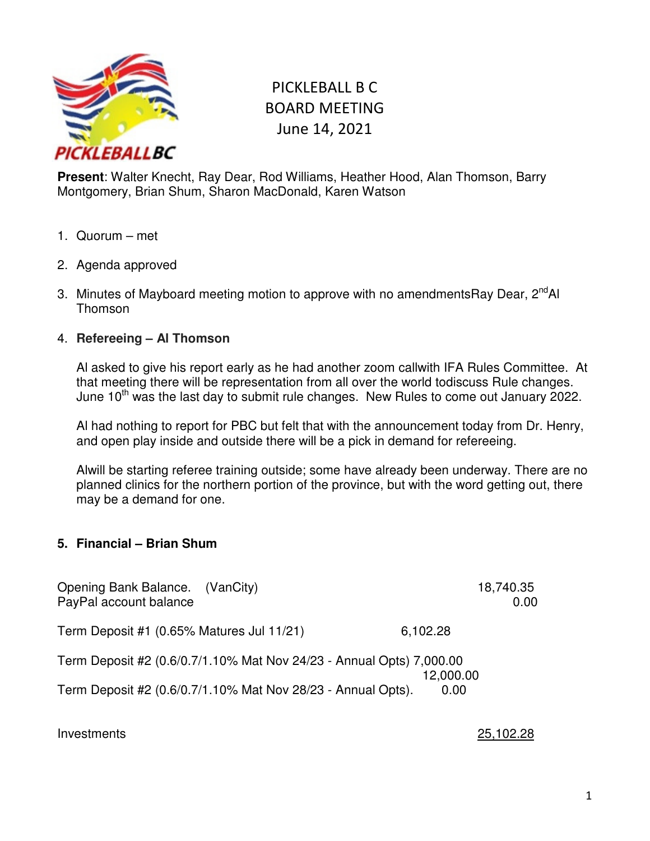

# PICKLEBALL B C BOARD MEETING June 14, 2021

**Present**: Walter Knecht, Ray Dear, Rod Williams, Heather Hood, Alan Thomson, Barry Montgomery, Brian Shum, Sharon MacDonald, Karen Watson

- 1. Quorum met
- 2. Agenda approved
- 3. Minutes of Mayboard meeting motion to approve with no amendmentsRay Dear, 2<sup>nd</sup>Al Thomson

#### 4. **Refereeing – Al Thomson**

Al asked to give his report early as he had another zoom callwith IFA Rules Committee. At that meeting there will be representation from all over the world todiscuss Rule changes. June 10<sup>th</sup> was the last day to submit rule changes. New Rules to come out January 2022.

Al had nothing to report for PBC but felt that with the announcement today from Dr. Henry, and open play inside and outside there will be a pick in demand for refereeing.

Alwill be starting referee training outside; some have already been underway. There are no planned clinics for the northern portion of the province, but with the word getting out, there may be a demand for one.

#### **5. Financial – Brian Shum**

| Opening Bank Balance. (VanCity)<br>PayPal account balance |                                                                                                                                      | 18,740.35<br>0.00 |
|-----------------------------------------------------------|--------------------------------------------------------------------------------------------------------------------------------------|-------------------|
| Term Deposit #1 (0.65% Matures Jul 11/21)                 |                                                                                                                                      | 6,102.28          |
|                                                           | Term Deposit #2 (0.6/0.7/1.10% Mat Nov 24/23 - Annual Opts) 7,000.00<br>Term Deposit #2 (0.6/0.7/1.10% Mat Nov 28/23 - Annual Opts). | 12,000.00<br>0.00 |

Investments 25,102.28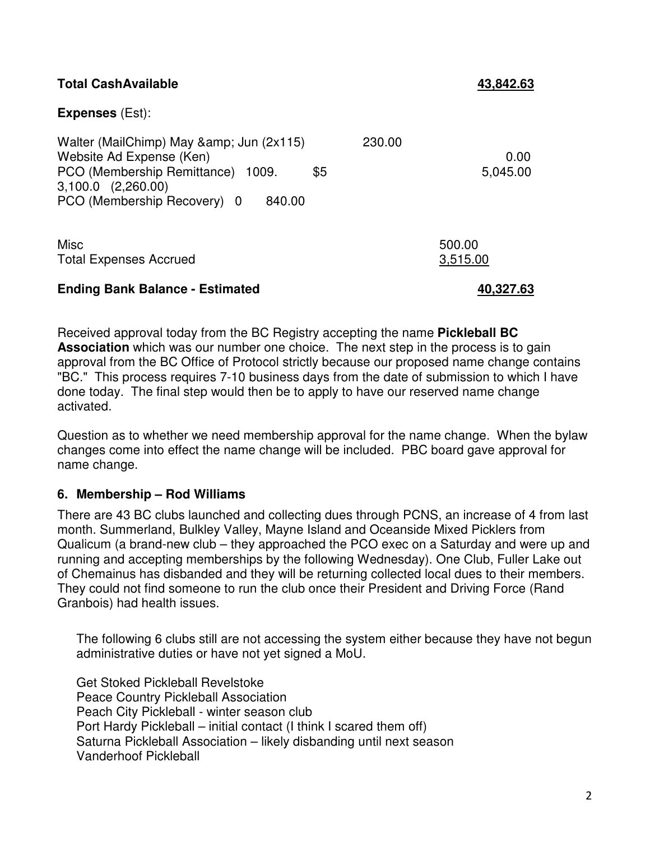| <b>Total CashAvailable</b>                                                                                                                                                      | 43,842.63                  |
|---------------------------------------------------------------------------------------------------------------------------------------------------------------------------------|----------------------------|
| <b>Expenses</b> (Est):                                                                                                                                                          |                            |
| Walter (MailChimp) May & Jun (2x115)<br>Website Ad Expense (Ken)<br>PCO (Membership Remittance) 1009.<br>\$5<br>$3,100.0$ $(2,260.00)$<br>PCO (Membership Recovery) 0<br>840.00 | 230.00<br>0.00<br>5,045.00 |
| <b>Misc</b><br><b>Total Expenses Accrued</b>                                                                                                                                    | 500.00<br>3,515.00         |
| <b>Ending Bank Balance - Estimated</b>                                                                                                                                          | 40,327.63                  |

Received approval today from the BC Registry accepting the name **Pickleball BC Association** which was our number one choice. The next step in the process is to gain approval from the BC Office of Protocol strictly because our proposed name change contains "BC." This process requires 7-10 business days from the date of submission to which I have done today. The final step would then be to apply to have our reserved name change activated.

Question as to whether we need membership approval for the name change. When the bylaw changes come into effect the name change will be included. PBC board gave approval for name change.

# **6. Membership – Rod Williams**

There are 43 BC clubs launched and collecting dues through PCNS, an increase of 4 from last month. Summerland, Bulkley Valley, Mayne Island and Oceanside Mixed Picklers from Qualicum (a brand-new club – they approached the PCO exec on a Saturday and were up and running and accepting memberships by the following Wednesday). One Club, Fuller Lake out of Chemainus has disbanded and they will be returning collected local dues to their members. They could not find someone to run the club once their President and Driving Force (Rand Granbois) had health issues.

The following 6 clubs still are not accessing the system either because they have not begun administrative duties or have not yet signed a MoU.

Get Stoked Pickleball Revelstoke Peace Country Pickleball Association Peach City Pickleball - winter season club Port Hardy Pickleball – initial contact (I think I scared them off) Saturna Pickleball Association – likely disbanding until next season Vanderhoof Pickleball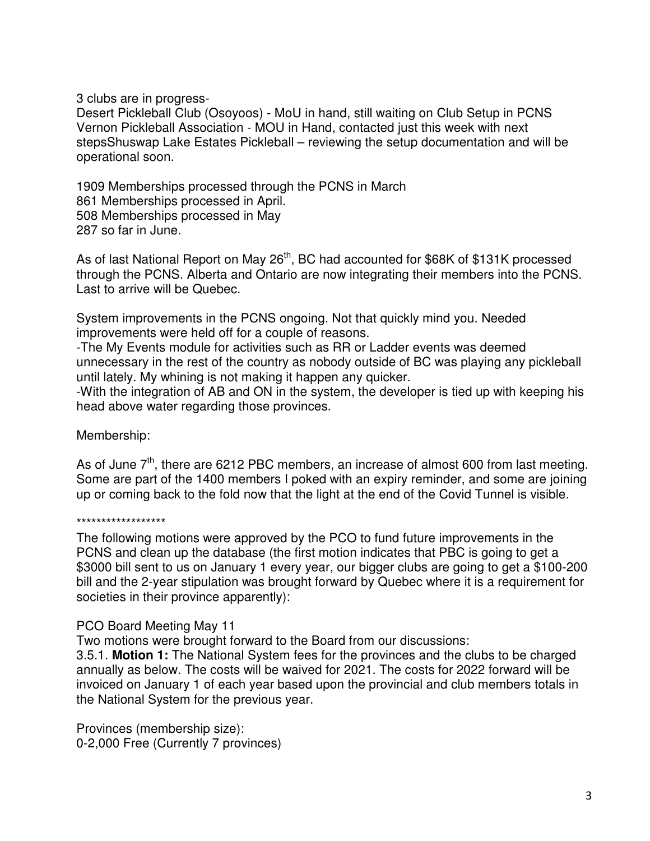3 clubs are in progress-

Desert Pickleball Club (Osoyoos) - MoU in hand, still waiting on Club Setup in PCNS Vernon Pickleball Association - MOU in Hand, contacted just this week with next stepsShuswap Lake Estates Pickleball – reviewing the setup documentation and will be operational soon.

1909 Memberships processed through the PCNS in March 861 Memberships processed in April. 508 Memberships processed in May 287 so far in June.

As of last National Report on May 26<sup>th</sup>, BC had accounted for \$68K of \$131K processed through the PCNS. Alberta and Ontario are now integrating their members into the PCNS. Last to arrive will be Quebec.

System improvements in the PCNS ongoing. Not that quickly mind you. Needed improvements were held off for a couple of reasons.

-The My Events module for activities such as RR or Ladder events was deemed unnecessary in the rest of the country as nobody outside of BC was playing any pickleball until lately. My whining is not making it happen any quicker.

-With the integration of AB and ON in the system, the developer is tied up with keeping his head above water regarding those provinces.

Membership:

As of June  $7<sup>th</sup>$ , there are 6212 PBC members, an increase of almost 600 from last meeting. Some are part of the 1400 members I poked with an expiry reminder, and some are joining up or coming back to the fold now that the light at the end of the Covid Tunnel is visible.

#### \*\*\*\*\*\*\*\*\*\*\*\*\*\*\*\*\*\*

The following motions were approved by the PCO to fund future improvements in the PCNS and clean up the database (the first motion indicates that PBC is going to get a \$3000 bill sent to us on January 1 every year, our bigger clubs are going to get a \$100-200 bill and the 2-year stipulation was brought forward by Quebec where it is a requirement for societies in their province apparently):

#### PCO Board Meeting May 11

Two motions were brought forward to the Board from our discussions:

3.5.1. **Motion 1:** The National System fees for the provinces and the clubs to be charged annually as below. The costs will be waived for 2021. The costs for 2022 forward will be invoiced on January 1 of each year based upon the provincial and club members totals in the National System for the previous year.

Provinces (membership size): 0-2,000 Free (Currently 7 provinces)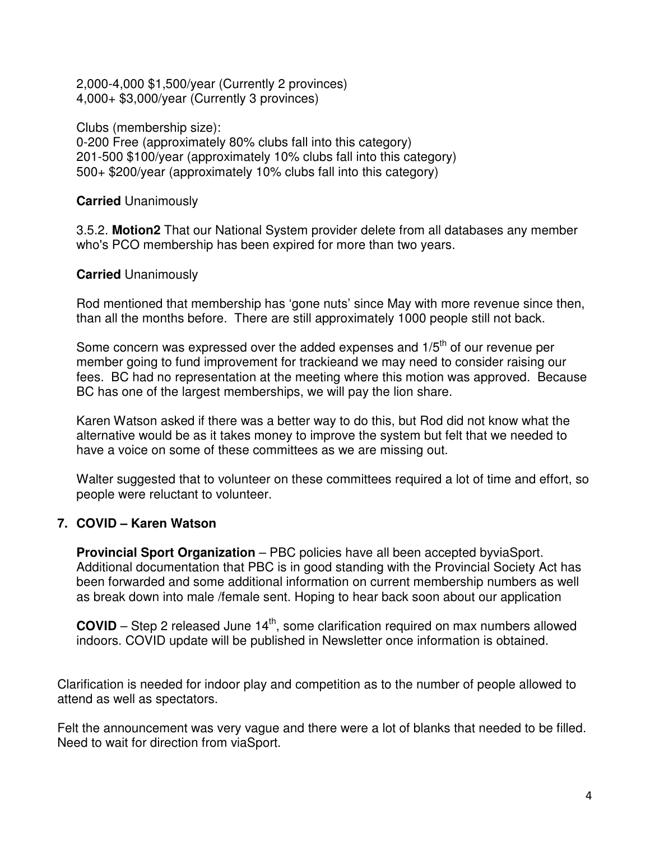2,000-4,000 \$1,500/year (Currently 2 provinces) 4,000+ \$3,000/year (Currently 3 provinces)

Clubs (membership size): 0-200 Free (approximately 80% clubs fall into this category) 201-500 \$100/year (approximately 10% clubs fall into this category) 500+ \$200/year (approximately 10% clubs fall into this category)

**Carried** Unanimously

3.5.2. **Motion2** That our National System provider delete from all databases any member who's PCO membership has been expired for more than two years.

#### **Carried** Unanimously

Rod mentioned that membership has 'gone nuts' since May with more revenue since then, than all the months before. There are still approximately 1000 people still not back.

Some concern was expressed over the added expenses and 1/5<sup>th</sup> of our revenue per member going to fund improvement for trackieand we may need to consider raising our fees. BC had no representation at the meeting where this motion was approved. Because BC has one of the largest memberships, we will pay the lion share.

Karen Watson asked if there was a better way to do this, but Rod did not know what the alternative would be as it takes money to improve the system but felt that we needed to have a voice on some of these committees as we are missing out.

Walter suggested that to volunteer on these committees required a lot of time and effort, so people were reluctant to volunteer.

# **7. COVID – Karen Watson**

**Provincial Sport Organization** – PBC policies have all been accepted byviaSport. Additional documentation that PBC is in good standing with the Provincial Society Act has been forwarded and some additional information on current membership numbers as well as break down into male /female sent. Hoping to hear back soon about our application

**COVID** – Step 2 released June  $14<sup>th</sup>$ , some clarification required on max numbers allowed indoors. COVID update will be published in Newsletter once information is obtained.

Clarification is needed for indoor play and competition as to the number of people allowed to attend as well as spectators.

Felt the announcement was very vague and there were a lot of blanks that needed to be filled. Need to wait for direction from viaSport.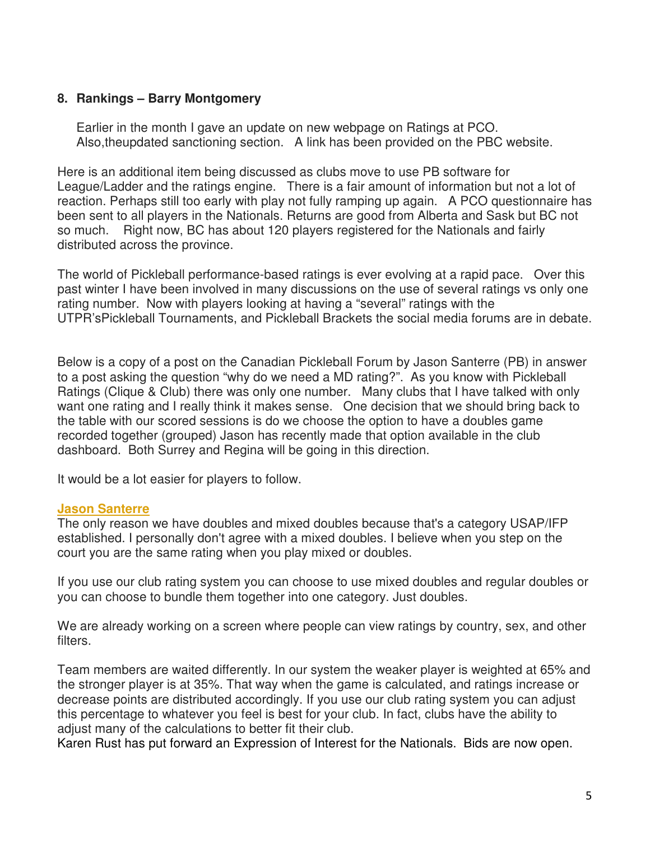# **8. Rankings – Barry Montgomery**

Earlier in the month I gave an update on new webpage on Ratings at PCO. Also,theupdated sanctioning section. A link has been provided on the PBC website.

Here is an additional item being discussed as clubs move to use PB software for League/Ladder and the ratings engine. There is a fair amount of information but not a lot of reaction. Perhaps still too early with play not fully ramping up again. A PCO questionnaire has been sent to all players in the Nationals. Returns are good from Alberta and Sask but BC not so much. Right now, BC has about 120 players registered for the Nationals and fairly distributed across the province.

The world of Pickleball performance-based ratings is ever evolving at a rapid pace. Over this past winter I have been involved in many discussions on the use of several ratings vs only one rating number. Now with players looking at having a "several" ratings with the UTPR'sPickleball Tournaments, and Pickleball Brackets the social media forums are in debate.

Below is a copy of a post on the Canadian Pickleball Forum by Jason Santerre (PB) in answer to a post asking the question "why do we need a MD rating?". As you know with Pickleball Ratings (Clique & Club) there was only one number. Many clubs that I have talked with only want one rating and I really think it makes sense. One decision that we should bring back to the table with our scored sessions is do we choose the option to have a doubles game recorded together (grouped) Jason has recently made that option available in the club dashboard. Both Surrey and Regina will be going in this direction.

It would be a lot easier for players to follow.

#### **Jason Santerre**

The only reason we have doubles and mixed doubles because that's a category USAP/IFP established. I personally don't agree with a mixed doubles. I believe when you step on the court you are the same rating when you play mixed or doubles.

If you use our club rating system you can choose to use mixed doubles and regular doubles or you can choose to bundle them together into one category. Just doubles.

We are already working on a screen where people can view ratings by country, sex, and other filters.

Team members are waited differently. In our system the weaker player is weighted at 65% and the stronger player is at 35%. That way when the game is calculated, and ratings increase or decrease points are distributed accordingly. If you use our club rating system you can adjust this percentage to whatever you feel is best for your club. In fact, clubs have the ability to adjust many of the calculations to better fit their club.

Karen Rust has put forward an Expression of Interest for the Nationals. Bids are now open.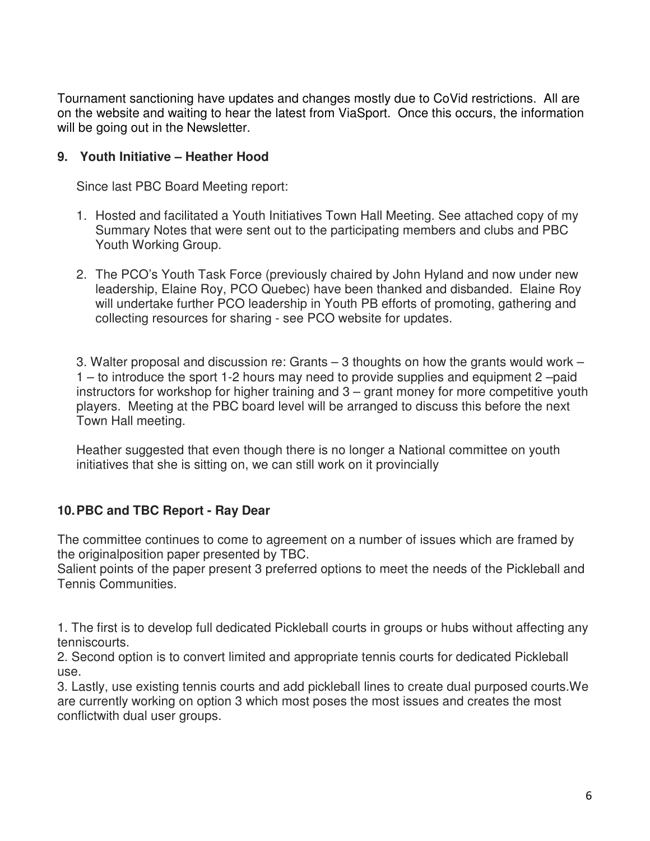Tournament sanctioning have updates and changes mostly due to CoVid restrictions. All are on the website and waiting to hear the latest from ViaSport. Once this occurs, the information will be going out in the Newsletter.

# **9. Youth Initiative – Heather Hood**

Since last PBC Board Meeting report:

- 1. Hosted and facilitated a Youth Initiatives Town Hall Meeting. See attached copy of my Summary Notes that were sent out to the participating members and clubs and PBC Youth Working Group.
- 2. The PCO's Youth Task Force (previously chaired by John Hyland and now under new leadership, Elaine Roy, PCO Quebec) have been thanked and disbanded. Elaine Roy will undertake further PCO leadership in Youth PB efforts of promoting, gathering and collecting resources for sharing - see PCO website for updates.

3. Walter proposal and discussion re: Grants – 3 thoughts on how the grants would work – 1 – to introduce the sport 1-2 hours may need to provide supplies and equipment 2 –paid instructors for workshop for higher training and 3 – grant money for more competitive youth players. Meeting at the PBC board level will be arranged to discuss this before the next Town Hall meeting.

Heather suggested that even though there is no longer a National committee on youth initiatives that she is sitting on, we can still work on it provincially

# **10. PBC and TBC Report - Ray Dear**

The committee continues to come to agreement on a number of issues which are framed by the originalposition paper presented by TBC.

Salient points of the paper present 3 preferred options to meet the needs of the Pickleball and Tennis Communities.

1. The first is to develop full dedicated Pickleball courts in groups or hubs without affecting any tenniscourts.

2. Second option is to convert limited and appropriate tennis courts for dedicated Pickleball use.

3. Lastly, use existing tennis courts and add pickleball lines to create dual purposed courts.We are currently working on option 3 which most poses the most issues and creates the most conflictwith dual user groups.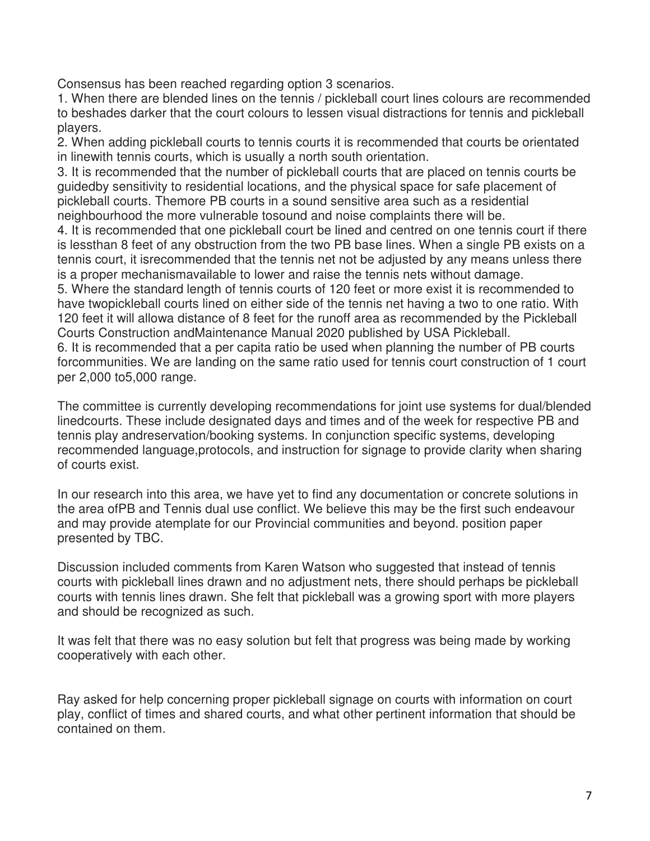Consensus has been reached regarding option 3 scenarios.

1. When there are blended lines on the tennis / pickleball court lines colours are recommended to beshades darker that the court colours to lessen visual distractions for tennis and pickleball players.

2. When adding pickleball courts to tennis courts it is recommended that courts be orientated in linewith tennis courts, which is usually a north south orientation.

3. It is recommended that the number of pickleball courts that are placed on tennis courts be guidedby sensitivity to residential locations, and the physical space for safe placement of pickleball courts. Themore PB courts in a sound sensitive area such as a residential neighbourhood the more vulnerable tosound and noise complaints there will be.

4. It is recommended that one pickleball court be lined and centred on one tennis court if there is lessthan 8 feet of any obstruction from the two PB base lines. When a single PB exists on a tennis court, it isrecommended that the tennis net not be adjusted by any means unless there is a proper mechanismavailable to lower and raise the tennis nets without damage.

5. Where the standard length of tennis courts of 120 feet or more exist it is recommended to have twopickleball courts lined on either side of the tennis net having a two to one ratio. With 120 feet it will allowa distance of 8 feet for the runoff area as recommended by the Pickleball Courts Construction andMaintenance Manual 2020 published by USA Pickleball.

6. It is recommended that a per capita ratio be used when planning the number of PB courts forcommunities. We are landing on the same ratio used for tennis court construction of 1 court per 2,000 to5,000 range.

The committee is currently developing recommendations for joint use systems for dual/blended linedcourts. These include designated days and times and of the week for respective PB and tennis play andreservation/booking systems. In conjunction specific systems, developing recommended language,protocols, and instruction for signage to provide clarity when sharing of courts exist.

In our research into this area, we have yet to find any documentation or concrete solutions in the area ofPB and Tennis dual use conflict. We believe this may be the first such endeavour and may provide atemplate for our Provincial communities and beyond. position paper presented by TBC.

Discussion included comments from Karen Watson who suggested that instead of tennis courts with pickleball lines drawn and no adjustment nets, there should perhaps be pickleball courts with tennis lines drawn. She felt that pickleball was a growing sport with more players and should be recognized as such.

It was felt that there was no easy solution but felt that progress was being made by working cooperatively with each other.

Ray asked for help concerning proper pickleball signage on courts with information on court play, conflict of times and shared courts, and what other pertinent information that should be contained on them.